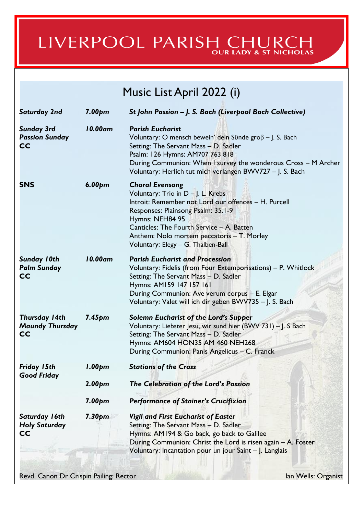# LIVERPOOL PARISH CHURCH

# Music List April 2022 (i)

| <b>Saturday 2nd</b>                                         | 7.00 <sub>pm</sub> | St John Passion - J. S. Bach (Liverpool Bach Collective)                                                                                                                                                                                                                                                          |  |
|-------------------------------------------------------------|--------------------|-------------------------------------------------------------------------------------------------------------------------------------------------------------------------------------------------------------------------------------------------------------------------------------------------------------------|--|
| <b>Sunday 3rd</b><br><b>Passion Sunday</b><br>CC            | 10.00am            | <b>Parish Eucharist</b><br>Voluntary: O mensch bewein' dein Sünde gro $\beta$ – J. S. Bach<br>Setting: The Servant Mass - D. Sadler<br>Psalm: 126 Hymns: AM707 763 818<br>During Communion: When I survey the wonderous Cross - M Archer<br>Voluntary: Herlich tut mich verlangen BWV727 - J. S. Bach             |  |
| <b>SNS</b>                                                  | 6.00 <sub>pm</sub> | <b>Choral Evensong</b><br>Voluntary: Trio in $D - J$ . L. Krebs<br>Introit: Remember not Lord our offences - H. Purcell<br>Responses: Plainsong Psalm: 35.1-9<br>Hymns: NEH84 95<br>Canticles: The Fourth Service - A. Batten<br>Anthem: Nolo mortem peccatoris - T. Morley<br>Voluntary: Elegy - G. Thalben-Ball |  |
| <b>Sunday 10th</b><br><b>Palm Sunday</b><br><b>CC</b>       | 10.00am            | <b>Parish Eucharist and Procession</b><br>Voluntary: Fidelis (from Four Extemporisations) - P. Whitlock<br>Setting: The Servant Mass - D. Sadler<br>Hymns: AM159 147 157 161<br>During Communion: Ave verum corpus - E. Elgar<br>Voluntary: Valet will ich dir geben BWV735 - J. S. Bach                          |  |
| <b>Thursday 14th</b><br><b>Maundy Thursday</b><br><b>CC</b> | 7.45 <sub>pm</sub> | Solemn Eucharist of the Lord's Supper<br>Voluntary: Liebster Jesu, wir sund hier (BWV 731) - J. S Bach<br>Setting: The Servant Mass - D. Sadler<br>Hymns: AM604 HON35 AM 460 NEH268<br>During Communion: Panis Angelicus - C. Franck                                                                              |  |
| Friday 15th<br><b>Good Friday</b>                           | 1.00 <sub>pm</sub> | <b>Stations of the Cross</b>                                                                                                                                                                                                                                                                                      |  |
|                                                             | $2.00p$ m          | The Celebration of the Lord's Passion                                                                                                                                                                                                                                                                             |  |
|                                                             | 7.00 <sub>pm</sub> | <b>Performance of Stainer's Crucifixion</b>                                                                                                                                                                                                                                                                       |  |
| Saturday 16th<br><b>Holy Saturday</b><br>CC                 | 7.30 <sub>pm</sub> | <b>Vigil and First Eucharist of Easter</b><br>Setting: The Servant Mass - D. Sadler<br>Hymns: AM194 & Go back, go back to Galilee<br>During Communion: Christ the Lord is risen again - A. Foster<br>Voluntary: Incantation pour un jour Saint - J. Langlais                                                      |  |
| Revd. Canon Dr Crispin Pailing: Rector                      |                    | lan Wells: Organist                                                                                                                                                                                                                                                                                               |  |